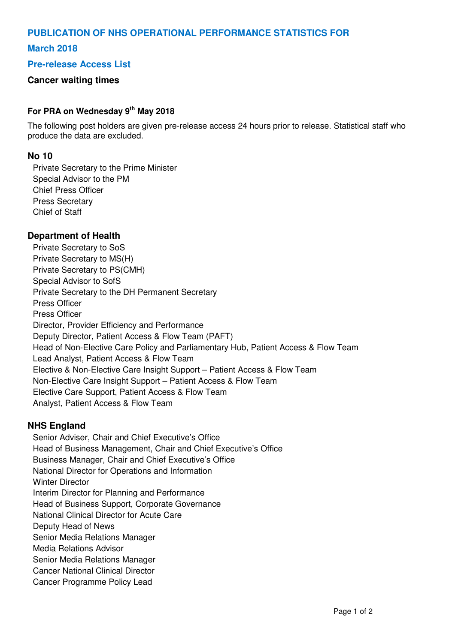# **PUBLICATION OF NHS OPERATIONAL PERFORMANCE STATISTICS FOR**

# **March 2018**

## **Pre-release Access List**

## **Cancer waiting times**

### **For PRA on Wednesday 9th May 2018**

The following post holders are given pre-release access 24 hours prior to release. Statistical staff who produce the data are excluded.

#### **No 10**

Private Secretary to the Prime Minister Special Advisor to the PM Chief Press Officer Press Secretary Chief of Staff

#### **Department of Health**

Private Secretary to SoS Private Secretary to MS(H) Private Secretary to PS(CMH) Special Advisor to SofS Private Secretary to the DH Permanent Secretary Press Officer Press Officer Director, Provider Efficiency and Performance Deputy Director, Patient Access & Flow Team (PAFT) Head of Non-Elective Care Policy and Parliamentary Hub, Patient Access & Flow Team Lead Analyst, Patient Access & Flow Team Elective & Non-Elective Care Insight Support – Patient Access & Flow Team Non-Elective Care Insight Support – Patient Access & Flow Team Elective Care Support, Patient Access & Flow Team Analyst, Patient Access & Flow Team

#### **NHS England**

Senior Adviser, Chair and Chief Executive's Office Head of Business Management, Chair and Chief Executive's Office Business Manager, Chair and Chief Executive's Office National Director for Operations and Information Winter Director Interim Director for Planning and Performance Head of Business Support, Corporate Governance National Clinical Director for Acute Care Deputy Head of News Senior Media Relations Manager Media Relations Advisor Senior Media Relations Manager Cancer National Clinical Director Cancer Programme Policy Lead